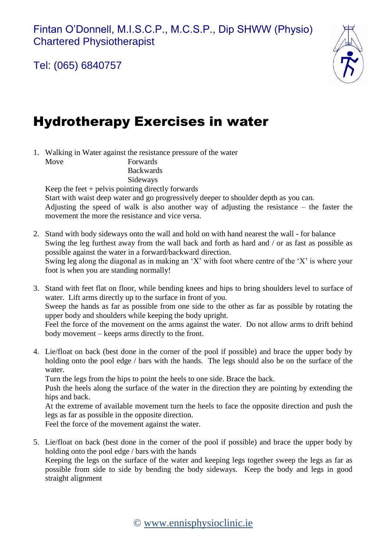Tel: (065) 6840757



## Hydrotherapy Exercises in water

1. Walking in Water against the resistance pressure of the water Move Forwards Backwards

Sideways

Keep the feet  $+$  pelvis pointing directly forwards

Start with waist deep water and go progressively deeper to shoulder depth as you can. Adjusting the speed of walk is also another way of adjusting the resistance – the faster the movement the more the resistance and vice versa.

- 2. Stand with body sideways onto the wall and hold on with hand nearest the wall for balance Swing the leg furthest away from the wall back and forth as hard and / or as fast as possible as possible against the water in a forward/backward direction. Swing leg along the diagonal as in making an 'X' with foot where centre of the 'X' is where your foot is when you are standing normally!
- 3. Stand with feet flat on floor, while bending knees and hips to bring shoulders level to surface of water. Lift arms directly up to the surface in front of you. Sweep the hands as far as possible from one side to the other as far as possible by rotating the upper body and shoulders while keeping the body upright. Feel the force of the movement on the arms against the water. Do not allow arms to drift behind body movement – keeps arms directly to the front.
- 4. Lie/float on back (best done in the corner of the pool if possible) and brace the upper body by holding onto the pool edge / bars with the hands. The legs should also be on the surface of the water.

Turn the legs from the hips to point the heels to one side. Brace the back.

Push the heels along the surface of the water in the direction they are pointing by extending the hips and back.

At the extreme of available movement turn the heels to face the opposite direction and push the legs as far as possible in the opposite direction.

Feel the force of the movement against the water.

5. Lie/float on back (best done in the corner of the pool if possible) and brace the upper body by holding onto the pool edge / bars with the hands

Keeping the legs on the surface of the water and keeping legs together sweep the legs as far as possible from side to side by bending the body sideways. Keep the body and legs in good straight alignment